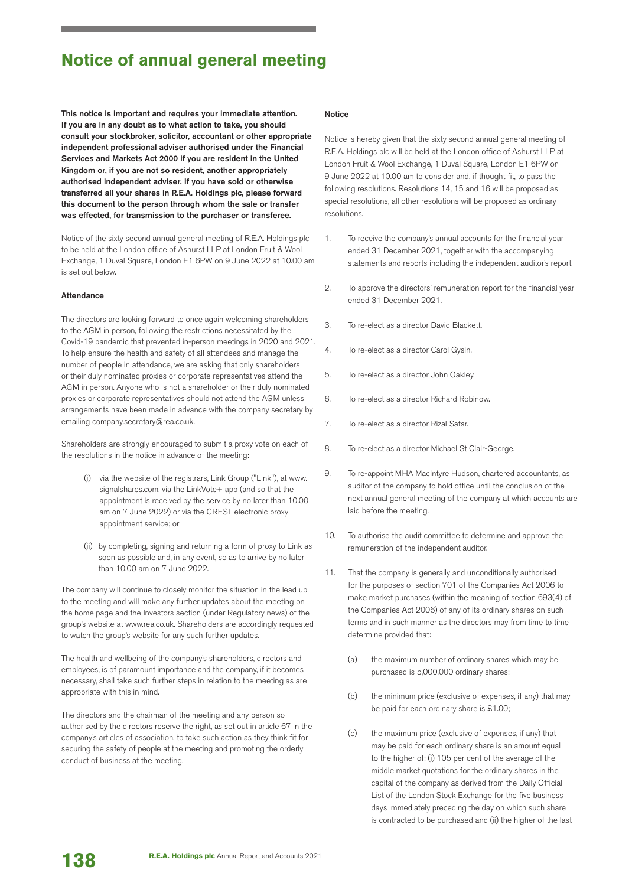## **Notice of annual general meeting**

This notice is important and requires your immediate attention. If you are in any doubt as to what action to take, you should consult your stockbroker, solicitor, accountant or other appropriate independent professional adviser authorised under the Financial Services and Markets Act 2000 if you are resident in the United Kingdom or, if you are not so resident, another appropriately authorised independent adviser. If you have sold or otherwise transferred all your shares in R.E.A. Holdings plc, please forward this document to the person through whom the sale or transfer was effected, for transmission to the purchaser or transferee.

Notice of the sixty second annual general meeting of R.E.A. Holdings plc to be held at the London office of Ashurst LLP at London Fruit & Wool Exchange, 1 Duval Square, London E1 6PW on 9 June 2022 at 10.00 am is set out below.

### Attendance

The directors are looking forward to once again welcoming shareholders to the AGM in person, following the restrictions necessitated by the Covid-19 pandemic that prevented in-person meetings in 2020 and 2021. To help ensure the health and safety of all attendees and manage the number of people in attendance, we are asking that only shareholders or their duly nominated proxies or corporate representatives attend the AGM in person. Anyone who is not a shareholder or their duly nominated proxies or corporate representatives should not attend the AGM unless arrangements have been made in advance with the company secretary by emailing company.secretary@rea.co.uk.

Shareholders are strongly encouraged to submit a proxy vote on each of the resolutions in the notice in advance of the meeting:

- (i) via the website of the registrars, Link Group ("Link"), at www. signalshares.com, via the LinkVote+ app (and so that the appointment is received by the service by no later than 10.00 am on 7 June 2022) or via the CREST electronic proxy appointment service; or
- (ii) by completing, signing and returning a form of proxy to Link as soon as possible and, in any event, so as to arrive by no later than 10.00 am on 7 June 2022.

The company will continue to closely monitor the situation in the lead up to the meeting and will make any further updates about the meeting on the home page and the Investors section (under Regulatory news) of the group's website at www.rea.co.uk. Shareholders are accordingly requested to watch the group's website for any such further updates.

The health and wellbeing of the company's shareholders, directors and employees, is of paramount importance and the company, if it becomes necessary, shall take such further steps in relation to the meeting as are appropriate with this in mind.

The directors and the chairman of the meeting and any person so authorised by the directors reserve the right, as set out in article 67 in the company's articles of association, to take such action as they think fit for securing the safety of people at the meeting and promoting the orderly conduct of business at the meeting.

#### Notice

Notice is hereby given that the sixty second annual general meeting of R.E.A. Holdings plc will be held at the London office of Ashurst LLP at London Fruit & Wool Exchange, 1 Duval Square, London E1 6PW on 9 June 2022 at 10.00 am to consider and, if thought fit, to pass the following resolutions. Resolutions 14, 15 and 16 will be proposed as special resolutions, all other resolutions will be proposed as ordinary resolutions.

- 1. To receive the company's annual accounts for the financial year ended 31 December 2021, together with the accompanying statements and reports including the independent auditor's report.
- 2. To approve the directors' remuneration report for the financial year ended 31 December 2021.
- 3. To re-elect as a director David Blackett.
- 4. To re-elect as a director Carol Gysin.
- 5. To re-elect as a director John Oakley.
- 6. To re-elect as a director Richard Robinow.
- 7. To re-elect as a director Rizal Satar.
- 8. To re-elect as a director Michael St Clair-George.
- 9. To re-appoint MHA MacIntyre Hudson, chartered accountants, as auditor of the company to hold office until the conclusion of the next annual general meeting of the company at which accounts are laid before the meeting.
- 10. To authorise the audit committee to determine and approve the remuneration of the independent auditor.
- 11. That the company is generally and unconditionally authorised for the purposes of section 701 of the Companies Act 2006 to make market purchases (within the meaning of section 693(4) of the Companies Act 2006) of any of its ordinary shares on such terms and in such manner as the directors may from time to time determine provided that:
	- (a) the maximum number of ordinary shares which may be purchased is 5,000,000 ordinary shares;
	- (b) the minimum price (exclusive of expenses, if any) that may be paid for each ordinary share is £1.00;
	- (c) the maximum price (exclusive of expenses, if any) that may be paid for each ordinary share is an amount equal to the higher of: (i) 105 per cent of the average of the middle market quotations for the ordinary shares in the capital of the company as derived from the Daily Official List of the London Stock Exchange for the five business days immediately preceding the day on which such share is contracted to be purchased and (ii) the higher of the last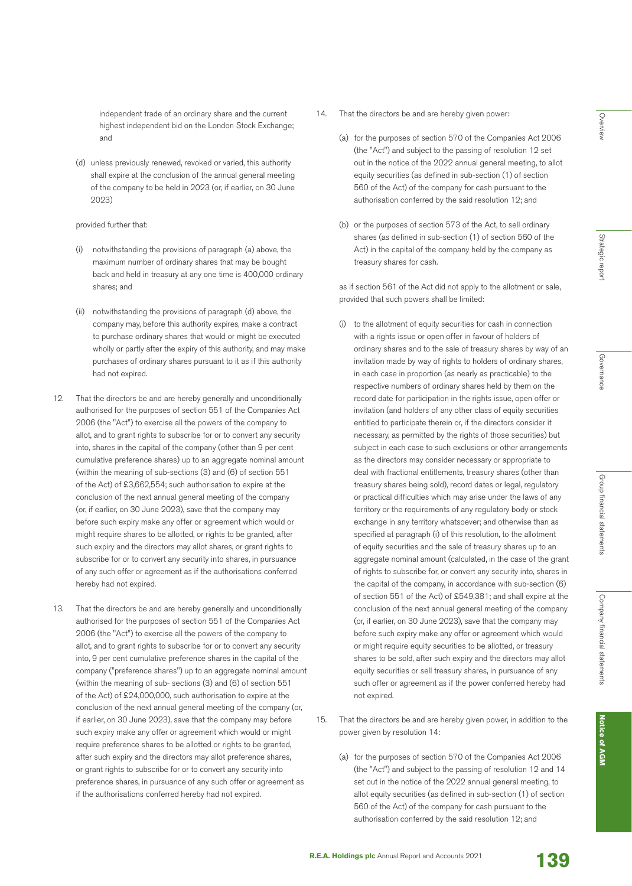independent trade of an ordinary share and the current highest independent bid on the London Stock Exchange; and

(d) unless previously renewed, revoked or varied, this authority shall expire at the conclusion of the annual general meeting of the company to be held in 2023 (or, if earlier, on 30 June 2023)

### provided further that:

- (i) notwithstanding the provisions of paragraph (a) above, the maximum number of ordinary shares that may be bought back and held in treasury at any one time is 400,000 ordinary shares; and
- (ii) notwithstanding the provisions of paragraph (d) above, the company may, before this authority expires, make a contract to purchase ordinary shares that would or might be executed wholly or partly after the expiry of this authority, and may make purchases of ordinary shares pursuant to it as if this authority had not expired.
- 12. That the directors be and are hereby generally and unconditionally authorised for the purposes of section 551 of the Companies Act 2006 (the "Act") to exercise all the powers of the company to allot, and to grant rights to subscribe for or to convert any security into, shares in the capital of the company (other than 9 per cent cumulative preference shares) up to an aggregate nominal amount (within the meaning of sub-sections (3) and (6) of section 551 of the Act) of £3,662,554; such authorisation to expire at the conclusion of the next annual general meeting of the company (or, if earlier, on 30 June 2023), save that the company may before such expiry make any offer or agreement which would or might require shares to be allotted, or rights to be granted, after such expiry and the directors may allot shares, or grant rights to subscribe for or to convert any security into shares, in pursuance of any such offer or agreement as if the authorisations conferred hereby had not expired.
- 13. That the directors be and are hereby generally and unconditionally authorised for the purposes of section 551 of the Companies Act 2006 (the "Act") to exercise all the powers of the company to allot, and to grant rights to subscribe for or to convert any security into, 9 per cent cumulative preference shares in the capital of the company ("preference shares") up to an aggregate nominal amount (within the meaning of sub- sections (3) and (6) of section 551 of the Act) of £24,000,000, such authorisation to expire at the conclusion of the next annual general meeting of the company (or, if earlier, on 30 June 2023), save that the company may before such expiry make any offer or agreement which would or might require preference shares to be allotted or rights to be granted, after such expiry and the directors may allot preference shares, or grant rights to subscribe for or to convert any security into preference shares, in pursuance of any such offer or agreement as if the authorisations conferred hereby had not expired.
- 14. That the directors be and are hereby given power:
	- (a) for the purposes of section 570 of the Companies Act 2006 (the "Act") and subject to the passing of resolution 12 set out in the notice of the 2022 annual general meeting, to allot equity securities (as defined in sub-section (1) of section 560 of the Act) of the company for cash pursuant to the authorisation conferred by the said resolution 12; and
	- (b) or the purposes of section 573 of the Act, to sell ordinary shares (as defined in sub-section (1) of section 560 of the Act) in the capital of the company held by the company as treasury shares for cash.

 as if section 561 of the Act did not apply to the allotment or sale, provided that such powers shall be limited:

- (i) to the allotment of equity securities for cash in connection with a rights issue or open offer in favour of holders of ordinary shares and to the sale of treasury shares by way of an invitation made by way of rights to holders of ordinary shares, in each case in proportion (as nearly as practicable) to the respective numbers of ordinary shares held by them on the record date for participation in the rights issue, open offer or invitation (and holders of any other class of equity securities entitled to participate therein or, if the directors consider it necessary, as permitted by the rights of those securities) but subject in each case to such exclusions or other arrangements as the directors may consider necessary or appropriate to deal with fractional entitlements, treasury shares (other than treasury shares being sold), record dates or legal, regulatory or practical difficulties which may arise under the laws of any territory or the requirements of any regulatory body or stock exchange in any territory whatsoever; and otherwise than as specified at paragraph (i) of this resolution, to the allotment of equity securities and the sale of treasury shares up to an aggregate nominal amount (calculated, in the case of the grant of rights to subscribe for, or convert any security into, shares in the capital of the company, in accordance with sub-section (6) of section 551 of the Act) of £549,381; and shall expire at the conclusion of the next annual general meeting of the company (or, if earlier, on 30 June 2023), save that the company may before such expiry make any offer or agreement which would or might require equity securities to be allotted, or treasury shares to be sold, after such expiry and the directors may allot equity securities or sell treasury shares, in pursuance of any such offer or agreement as if the power conferred hereby had not expired.
- 15. That the directors be and are hereby given power, in addition to the power given by resolution 14:
	- (a) for the purposes of section 570 of the Companies Act 2006 (the "Act") and subject to the passing of resolution 12 and 14 set out in the notice of the 2022 annual general meeting, to allot equity securities (as defined in sub-section (1) of section 560 of the Act) of the company for cash pursuant to the authorisation conferred by the said resolution 12; and

Overview

Overview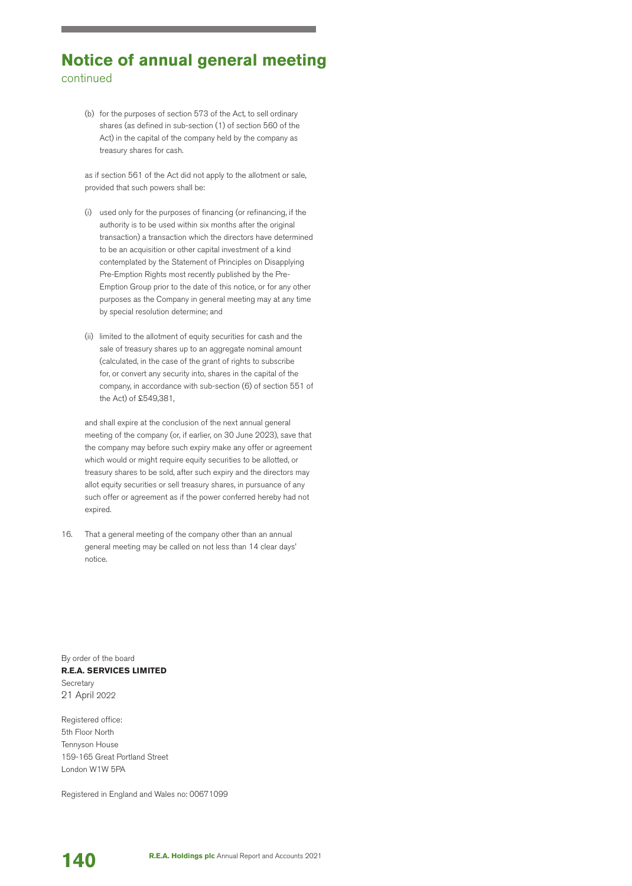# **Notice of annual general meeting** continued

(b) for the purposes of section 573 of the Act, to sell ordinary shares (as defined in sub-section (1) of section 560 of the Act) in the capital of the company held by the company as treasury shares for cash.

 as if section 561 of the Act did not apply to the allotment or sale, provided that such powers shall be:

- (i) used only for the purposes of financing (or refinancing, if the authority is to be used within six months after the original transaction) a transaction which the directors have determined to be an acquisition or other capital investment of a kind contemplated by the Statement of Principles on Disapplying Pre-Emption Rights most recently published by the Pre-Emption Group prior to the date of this notice, or for any other purposes as the Company in general meeting may at any time by special resolution determine; and
- (ii) limited to the allotment of equity securities for cash and the sale of treasury shares up to an aggregate nominal amount (calculated, in the case of the grant of rights to subscribe for, or convert any security into, shares in the capital of the company, in accordance with sub-section (6) of section 551 of the Act) of £549,381,

 and shall expire at the conclusion of the next annual general meeting of the company (or, if earlier, on 30 June 2023), save that the company may before such expiry make any offer or agreement which would or might require equity securities to be allotted, or treasury shares to be sold, after such expiry and the directors may allot equity securities or sell treasury shares, in pursuance of any such offer or agreement as if the power conferred hereby had not expired.

16. That a general meeting of the company other than an annual general meeting may be called on not less than 14 clear days' notice.

By order of the board **R.E.A. SERVICES LIMITED Secretary** 21 April 2022

Registered office: 5th Floor North Tennyson House 159-165 Great Portland Street London W1W 5PA

Registered in England and Wales no: 00671099

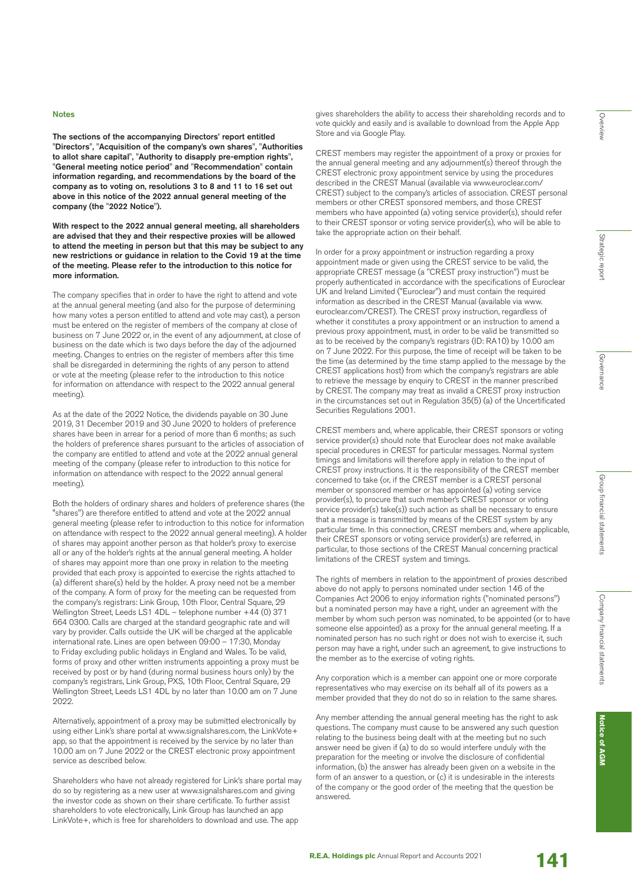#### Notes

The sections of the accompanying Directors' report entitled "Directors", "Acquisition of the company's own shares", "Authorities to allot share capital", "Authority to disapply pre-emption rights", "General meeting notice period" and "Recommendation" contain information regarding, and recommendations by the board of the company as to voting on, resolutions 3 to 8 and 11 to 16 set out above in this notice of the 2022 annual general meeting of the company (the "2022 Notice").

With respect to the 2022 annual general meeting, all shareholders are advised that they and their respective proxies will be allowed to attend the meeting in person but that this may be subject to any new restrictions or guidance in relation to the Covid 19 at the time of the meeting. Please refer to the introduction to this notice for more information.

The company specifies that in order to have the right to attend and vote at the annual general meeting (and also for the purpose of determining how many votes a person entitled to attend and vote may cast), a person must be entered on the register of members of the company at close of business on 7 June 2022 or, in the event of any adjournment, at close of business on the date which is two days before the day of the adjourned meeting. Changes to entries on the register of members after this time shall be disregarded in determining the rights of any person to attend or vote at the meeting (please refer to the introduction to this notice for information on attendance with respect to the 2022 annual general meeting).

As at the date of the 2022 Notice, the dividends payable on 30 June 2019, 31 December 2019 and 30 June 2020 to holders of preference shares have been in arrear for a period of more than 6 months; as such the holders of preference shares pursuant to the articles of association of the company are entitled to attend and vote at the 2022 annual general meeting of the company (please refer to introduction to this notice for information on attendance with respect to the 2022 annual general meeting).

Both the holders of ordinary shares and holders of preference shares (the "shares") are therefore entitled to attend and vote at the 2022 annual general meeting (please refer to introduction to this notice for information on attendance with respect to the 2022 annual general meeting). A holder of shares may appoint another person as that holder's proxy to exercise all or any of the holder's rights at the annual general meeting. A holder of shares may appoint more than one proxy in relation to the meeting provided that each proxy is appointed to exercise the rights attached to (a) different share(s) held by the holder. A proxy need not be a member of the company. A form of proxy for the meeting can be requested from the company's registrars: Link Group, 10th Floor, Central Square, 29 Wellington Street, Leeds LS1 4DL – telephone number +44 (0) 371 664 0300. Calls are charged at the standard geographic rate and will vary by provider. Calls outside the UK will be charged at the applicable international rate. Lines are open between 09:00 – 17:30, Monday to Friday excluding public holidays in England and Wales. To be valid, forms of proxy and other written instruments appointing a proxy must be received by post or by hand (during normal business hours only) by the company's registrars, Link Group, PXS, 10th Floor, Central Square, 29 Wellington Street, Leeds LS1 4DL by no later than 10.00 am on 7 June 2022.

Alternatively, appointment of a proxy may be submitted electronically by using either Link's share portal at www.signalshares.com, the LinkVote+ app, so that the appointment is received by the service by no later than 10.00 am on 7 June 2022 or the CREST electronic proxy appointment service as described below.

Shareholders who have not already registered for Link's share portal may do so by registering as a new user at www.signalshares.com and giving the investor code as shown on their share certificate. To further assist shareholders to vote electronically, Link Group has launched an app LinkVote+, which is free for shareholders to download and use. The app

gives shareholders the ability to access their shareholding records and to vote quickly and easily and is available to download from the Apple App Store and via Google Play.

CREST members may register the appointment of a proxy or proxies for the annual general meeting and any adjournment(s) thereof through the CREST electronic proxy appointment service by using the procedures described in the CREST Manual (available via www.euroclear.com/ CREST) subject to the company's articles of association. CREST personal members or other CREST sponsored members, and those CREST members who have appointed (a) voting service provider(s), should refer to their CREST sponsor or voting service provider(s), who will be able to take the appropriate action on their behalf.

In order for a proxy appointment or instruction regarding a proxy appointment made or given using the CREST service to be valid, the appropriate CREST message (a "CREST proxy instruction") must be properly authenticated in accordance with the specifications of Euroclear UK and Ireland Limited ("Euroclear") and must contain the required information as described in the CREST Manual (available via www. euroclear.com/CREST). The CREST proxy instruction, regardless of whether it constitutes a proxy appointment or an instruction to amend a previous proxy appointment, must, in order to be valid be transmitted so as to be received by the company's registrars (ID: RA10) by 10.00 am on 7 June 2022. For this purpose, the time of receipt will be taken to be the time (as determined by the time stamp applied to the message by the CREST applications host) from which the company's registrars are able to retrieve the message by enquiry to CREST in the manner prescribed by CREST. The company may treat as invalid a CREST proxy instruction in the circumstances set out in Regulation 35(5) (a) of the Uncertificated Securities Regulations 2001.

CREST members and, where applicable, their CREST sponsors or voting service provider(s) should note that Euroclear does not make available special procedures in CREST for particular messages. Normal system timings and limitations will therefore apply in relation to the input of CREST proxy instructions. It is the responsibility of the CREST member concerned to take (or, if the CREST member is a CREST personal member or sponsored member or has appointed (a) voting service provider(s), to procure that such member's CREST sponsor or voting service provider(s) take(s)) such action as shall be necessary to ensure that a message is transmitted by means of the CREST system by any particular time. In this connection, CREST members and, where applicable, their CREST sponsors or voting service provider(s) are referred, in particular, to those sections of the CREST Manual concerning practical limitations of the CREST system and timings.

The rights of members in relation to the appointment of proxies described above do not apply to persons nominated under section 146 of the Companies Act 2006 to enjoy information rights ("nominated persons") but a nominated person may have a right, under an agreement with the member by whom such person was nominated, to be appointed (or to have someone else appointed) as a proxy for the annual general meeting. If a nominated person has no such right or does not wish to exercise it, such person may have a right, under such an agreement, to give instructions to the member as to the exercise of voting rights.

Any corporation which is a member can appoint one or more corporate representatives who may exercise on its behalf all of its powers as a member provided that they do not do so in relation to the same shares.

Any member attending the annual general meeting has the right to ask questions. The company must cause to be answered any such question relating to the business being dealt with at the meeting but no such answer need be given if (a) to do so would interfere unduly with the preparation for the meeting or involve the disclosure of confidential information, (b) the answer has already been given on a website in the form of an answer to a question, or (c) it is undesirable in the interests of the company or the good order of the meeting that the question be answered.